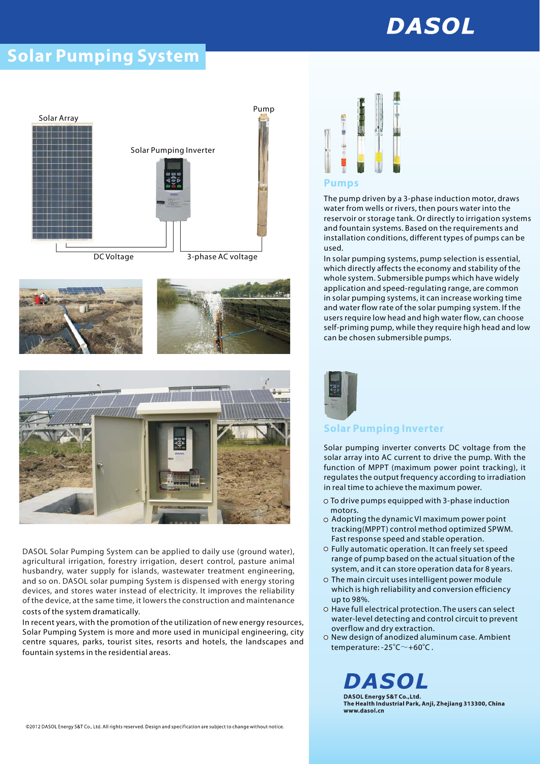# **DASOL**

## **Solar Pumping System**







Pump



DASOL Solar Pumping System can be applied to daily use (ground water), agricultural irrigation, forestry irrigation, desert control, pasture animal husbandry, water supply for islands, wastewater treatment engineering, and so on. DASOL solar pumping System is dispensed with energy storing devices, and stores water instead of electricity. It improves the reliability of the device, at the same time, it lowers the construction and maintenance costs of the system dramatically.

In recent years, with the promotion of the utilization of new energy resources, Solar Pumping System is more and more used in municipal engineering, city centre squares, parks, tourist sites, resorts and hotels, the landscapes and fountain systems in the residential areas.



The pump driven by a 3-phase induction motor, draws **Pumps** water from wells or rivers, then pours water into the reservoir or storage tank. Or directly to irrigation systems and fountain systems. Based on the requirements and installation conditions, different types of pumps can be used.

In solar pumping systems, pump selection is essential, which directly affects the economy and stability of the whole system. Submersible pumps which have widely application and speed-regulating range, are common in solar pumping systems, it can increase working time and water flow rate of the solar pumping system. If the users require low head and high water flow, can choose self-priming pump, while they require high head and low can be chosen submersible pumps.



### **Solar Pumping Inverter**

Solar pumping inverter converts DC voltage from the solar array into AC current to drive the pump. With the function of MPPT (maximum power point tracking), it regulates the output frequency according to irradiation in real time to achieve the maximum power.

- To drive pumps equipped with 3-phase induction motors.
- Adopting the dynamic VI maximum power point tracking(MPPT) control method optimized SPWM. Fast response speed and stable operation.
- Fully automatic operation. It can freely set speed range of pump based on the actual situation of the system, and it can store operation data for 8 years.
- The main circuit uses intelligent power module which is high reliability and conversion efficiency up to 98%.
- O Have full electrical protection. The users can select water-level detecting and control circuit to prevent overflow and dry extraction.
- overnow and dry extraction.<br>New design of anodized aluminum case. Ambient temperature: -25 $\degree$ C $\sim$ +60 $\degree$ C.

DASOL DASOL Energy S&T Co., Ltd. The Health Industrial Park, Anji, Zhejiang 313300, China

www.dasol.cn

©2012 DASOL Energy S&T Co., Ltd. All rights reserved. Design and specification are subject to change without notice.